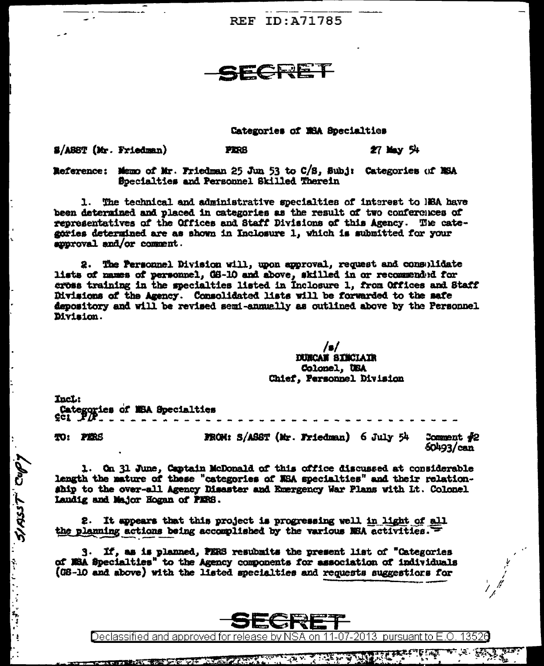**REF ID: A71785** 

## <u> SCRET</u>

## Categories of NSA Specialties

\$/ASST (Mr. Friedman)

**PERS** 

 $27$  May  $54$ 

Reference: Memo of Mr. Friedman 25 Jun 53 to C/S, Subj: Categories of MSA Specialties and Personnel Skilled Therein

1. The technical and administrative specialties of interest to NBA have been determined and placed in categories as the result of two conferences of representatives of the Offices and Staff Divisions of this Agency. The categories determined are as shown in Inclosure 1, which is submitted for your suproval and/or comment.

2. The Personnel Division will, upon approval, request and consulidate lists of mames of personnel, GS-10 and above, skilled in or recommended for cross training in the specialties listed in Inclosure 1, from Offices and Staff Divisions of the Agency. Consolidated lists will be forwarded to the safe depository and will be revised semi-annually as outlined above by the Personnel Division.

> $\sqrt{2}$ **DURCAN SINCLAIR** Colonel, USA Chief, Personnel Division

Incl: Categories of MSA Specialties 201 .P/P

TO: PERS

Cops Tession Support

FROM: S/ASST (Mr. Friedman) 6 July 54  $3$ omment  $42$  $50493/can$ 

terat

÷.

1. On 31 June, Captain McDonald of this office discussed at considerable length the mature of these "categories of NSA specialties" and their relationship to the over-all Agency Disaster and Emergency War Plans with Lt. Colonel Laudig and Major Hogan of PERS.

It appears that this project is progressing well in light of all 2. the planning actions being accomplished by the various NSA activities.

3. If, as is planned, PERS resubmits the present list of "Categories of NSA Specialties" to the Agency components for association of individuals (GS-10 and above) with the listed specialties and requests suggestions for



Declassified and approved for release by NSA on 11-07-2013 pursuant to E.O.